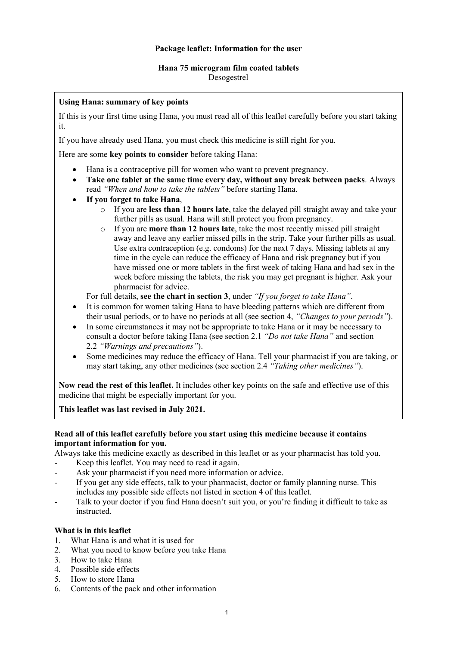#### **Package leaflet: Information for the user**

# **Hana 75 microgram film coated tablets**

Desogestrel

#### **Using Hana: summary of key points**

If this is your first time using Hana, you must read all of this leaflet carefully before you start taking it.

If you have already used Hana, you must check this medicine is still right for you.

Here are some **key points to consider** before taking Hana:

- Hana is a contraceptive pill for women who want to prevent pregnancy.
- **Take one tablet at the same time every day, without any break between packs**. Always read *"When and how to take the tablets"* before starting Hana.
- **If you forget to take Hana**,
	- o If you are **less than 12 hours late**, take the delayed pill straight away and take your further pills as usual. Hana will still protect you from pregnancy.
	- o If you are **more than 12 hours late**, take the most recently missed pill straight away and leave any earlier missed pills in the strip. Take your further pills as usual. Use extra contraception (e.g. condoms) for the next 7 days. Missing tablets at any time in the cycle can reduce the efficacy of Hana and risk pregnancy but if you have missed one or more tablets in the first week of taking Hana and had sex in the week before missing the tablets, the risk you may get pregnant is higher. Ask your pharmacist for advice.

For full details, **see the chart in section 3**, under *"If you forget to take Hana"*.

- It is common for women taking Hana to have bleeding patterns which are different from their usual periods, or to have no periods at all (see section 4, *"Changes to your periods"*).
- In some circumstances it may not be appropriate to take Hana or it may be necessary to consult a doctor before taking Hana (see section 2.1 *"Do not take Hana"* and section 2.2 *"Warnings and precautions"*).
- Some medicines may reduce the efficacy of Hana. Tell your pharmacist if you are taking, or may start taking, any other medicines (see section 2.4 *"Taking other medicines"*).

**Now read the rest of this leaflet.** It includes other key points on the safe and effective use of this medicine that might be especially important for you.

**This leaflet was last revised in July 2021.**

#### **Read all of this leaflet carefully before you start using this medicine because it contains important information for you.**

Always take this medicine exactly as described in this leaflet or as your pharmacist has told you.

- Keep this leaflet. You may need to read it again.
- Ask your pharmacist if you need more information or advice.
- If you get any side effects, talk to your pharmacist, doctor or family planning nurse. This includes any possible side effects not listed in section 4 of this leaflet.
- Talk to your doctor if you find Hana doesn't suit you, or you're finding it difficult to take as instructed.

#### **What is in this leaflet**

- 1. What Hana is and what it is used for
- 2. What you need to know before you take Hana
- 3. How to take Hana
- 4. Possible side effects
- 5. How to store Hana
- 6. Contents of the pack and other information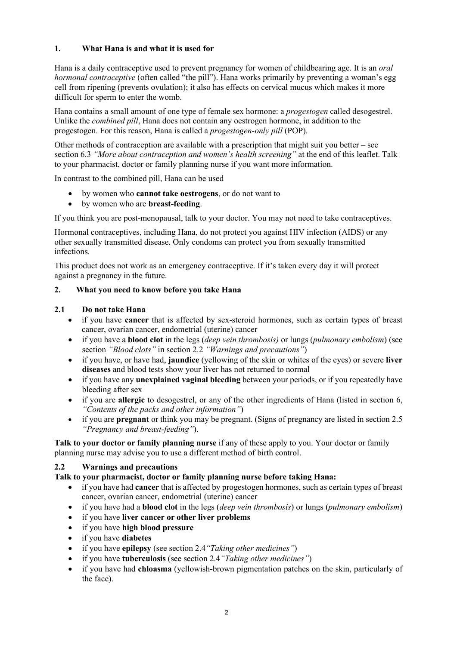## **1. What Hana is and what it is used for**

Hana is a daily contraceptive used to prevent pregnancy for women of childbearing age. It is an *oral hormonal contraceptive* (often called "the pill"). Hana works primarily by preventing a woman's egg cell from ripening (prevents ovulation); it also has effects on cervical mucus which makes it more difficult for sperm to enter the womb.

Hana contains a small amount of one type of female sex hormone: a *progestogen* called desogestrel. Unlike the *combined pill*, Hana does not contain any oestrogen hormone, in addition to the progestogen. For this reason, Hana is called a *progestogen-only pill* (POP).

Other methods of contraception are available with a prescription that might suit you better – see section 6.3 *"More about contraception and women's health screening"* at the end of this leaflet. Talk to your pharmacist, doctor or family planning nurse if you want more information.

In contrast to the combined pill, Hana can be used

- by women who **cannot take oestrogens**, or do not want to
- by women who are **breast-feeding**.

If you think you are post-menopausal, talk to your doctor. You may not need to take contraceptives.

Hormonal contraceptives, including Hana, do not protect you against HIV infection (AIDS) or any other sexually transmitted disease. Only condoms can protect you from sexually transmitted infections.

This product does not work as an emergency contraceptive. If it's taken every day it will protect against a pregnancy in the future.

#### **2. What you need to know before you take Hana**

#### **2.1 Do not take Hana**

- if you have **cancer** that is affected by sex-steroid hormones, such as certain types of breast cancer, ovarian cancer, endometrial (uterine) cancer
- if you have a **blood clot** in the legs (*deep vein thrombosis)* or lungs (*pulmonary embolism*) (see section *"Blood clots"* in section 2.2 *"Warnings and precautions"*)
- if you have, or have had, **jaundice** (yellowing of the skin or whites of the eyes) or severe **liver diseases** and blood tests show your liver has not returned to normal
- if you have any **unexplained vaginal bleeding** between your periods, or if you repeatedly have bleeding after sex
- if you are **allergic** to desogestrel, or any of the other ingredients of Hana (listed in section 6, *"Contents of the packs and other information"*)
- if you are **pregnant** or think you may be pregnant. (Signs of pregnancy are listed in section 2.5 *"Pregnancy and breast-feeding"*).

**Talk to your doctor or family planning nurse** if any of these apply to you. Your doctor or family planning nurse may advise you to use a different method of birth control.

#### **2.2 Warnings and precautions**

#### **Talk to your pharmacist, doctor or family planning nurse before taking Hana:**

- if you have had **cancer** that is affected by progestogen hormones, such as certain types of breast cancer, ovarian cancer, endometrial (uterine) cancer
- if you have had a **blood clot** in the legs (*deep vein thrombosis*) or lungs (*pulmonary embolism*)
- if you have **liver cancer or other liver problems**
- if you have **high blood pressure**
- if you have **diabetes**
- if you have **epilepsy** (see section 2.4*"Taking other medicines"*)
- if you have **tuberculosis** (see section 2.4*"Taking other medicines"*)
- if you have had **chloasma** (yellowish-brown pigmentation patches on the skin, particularly of the face).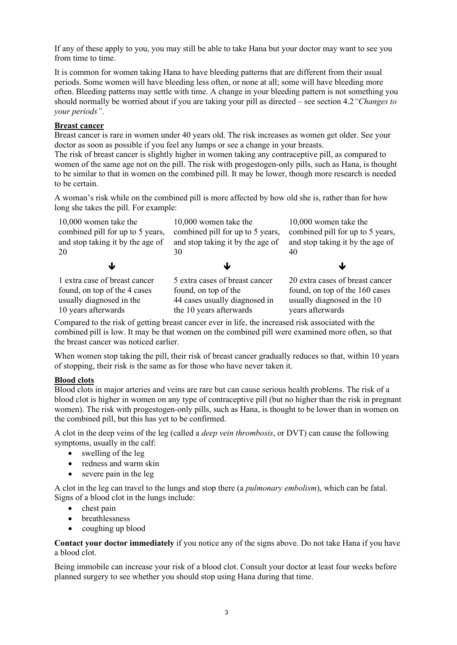If any of these apply to you, you may still be able to take Hana but your doctor may want to see you from time to time.

It is common for women taking Hana to have bleeding patterns that are different from their usual periods. Some women will have bleeding less often, or none at all; some will have bleeding more often. Bleeding patterns may settle with time. A change in your bleeding pattern is not something you should normally be worried about if you are taking your pill as directed – see section 4.2*"Changes to your periods"*.

#### **Breast cancer**

Breast cancer is rare in women under 40 years old. The risk increases as women get older. See your doctor as soon as possible if you feel any lumps or see a change in your breasts.

The risk of breast cancer is slightly higher in women taking any contraceptive pill, as compared to women of the same age not on the pill. The risk with progestogen-only pills, such as Hana, is thought to be similar to that in women on the combined pill. It may be lower, though more research is needed to be certain.

A woman's risk while on the combined pill is more affected by how old she is, rather than for how long she takes the pill. For example:

| 10,000 women take the            | 10,000 women take the            | 10,000 women take the            |
|----------------------------------|----------------------------------|----------------------------------|
| combined pill for up to 5 years, | combined pill for up to 5 years, | combined pill for up to 5 years, |
| and stop taking it by the age of | and stop taking it by the age of | and stop taking it by the age of |
| 20                               | 30                               | 40                               |
| w                                |                                  |                                  |
| 1 extra case of breast cancer    | 5 extra cases of breast cancer   | 20 extra cases of breast cancer  |
| found, on top of the 4 cases     | found, on top of the             | found, on top of the 160 cases   |
| usually diagnosed in the         | 44 cases usually diagnosed in    | usually diagnosed in the 10      |
| 10 years afterwards              | the 10 years afterwards          | years afterwards                 |

Compared to the risk of getting breast cancer ever in life, the increased risk associated with the combined pill is low. It may be that women on the combined pill were examined more often, so that the breast cancer was noticed earlier.

When women stop taking the pill, their risk of breast cancer gradually reduces so that, within 10 years of stopping, their risk is the same as for those who have never taken it.

#### **Blood clots**

Blood clots in major arteries and veins are rare but can cause serious health problems. The risk of a blood clot is higher in women on any type of contraceptive pill (but no higher than the risk in pregnant women). The risk with progestogen-only pills, such as Hana, is thought to be lower than in women on the combined pill, but this has yet to be confirmed.

A clot in the deep veins of the leg (called a *deep vein thrombosis*, or DVT) can cause the following symptoms, usually in the calf:

- swelling of the leg
- redness and warm skin
- severe pain in the leg

A clot in the leg can travel to the lungs and stop there (a *pulmonary embolism*), which can be fatal. Signs of a blood clot in the lungs include:

- chest pain
- breathlessness
- coughing up blood

**Contact your doctor immediately** if you notice any of the signs above. Do not take Hana if you have a blood clot.

Being immobile can increase your risk of a blood clot. Consult your doctor at least four weeks before planned surgery to see whether you should stop using Hana during that time.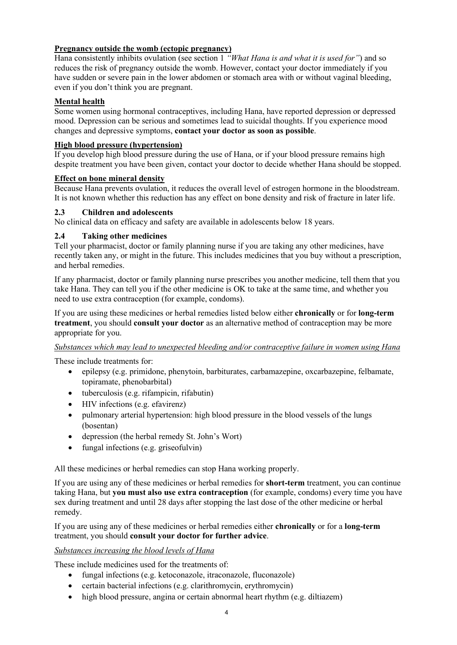## **Pregnancy outside the womb (ectopic pregnancy)**

Hana consistently inhibits ovulation (see section 1 *"What Hana is and what it is used for"*) and so reduces the risk of pregnancy outside the womb. However, contact your doctor immediately if you have sudden or severe pain in the lower abdomen or stomach area with or without vaginal bleeding, even if you don't think you are pregnant.

## **Mental health**

Some women using hormonal contraceptives, including Hana, have reported depression or depressed mood. Depression can be serious and sometimes lead to suicidal thoughts. If you experience mood changes and depressive symptoms, **contact your doctor as soon as possible**.

#### **High blood pressure (hypertension)**

If you develop high blood pressure during the use of Hana, or if your blood pressure remains high despite treatment you have been given, contact your doctor to decide whether Hana should be stopped.

#### **Effect on bone mineral density**

Because Hana prevents ovulation, it reduces the overall level of estrogen hormone in the bloodstream. It is not known whether this reduction has any effect on bone density and risk of fracture in later life.

#### **2.3 Children and adolescents**

No clinical data on efficacy and safety are available in adolescents below 18 years.

#### **2.4 Taking other medicines**

Tell your pharmacist, doctor or family planning nurse if you are taking any other medicines, have recently taken any, or might in the future. This includes medicines that you buy without a prescription, and herbal remedies.

If any pharmacist, doctor or family planning nurse prescribes you another medicine, tell them that you take Hana. They can tell you if the other medicine is OK to take at the same time, and whether you need to use extra contraception (for example, condoms).

If you are using these medicines or herbal remedies listed below either **chronically** or for **long-term treatment**, you should **consult your doctor** as an alternative method of contraception may be more appropriate for you.

#### *Substances which may lead to unexpected bleeding and/or contraceptive failure in women using Hana*

These include treatments for:

- epilepsy (e.g. primidone, phenytoin, barbiturates, carbamazepine, oxcarbazepine, felbamate, topiramate, phenobarbital)
- tuberculosis (e.g. rifampicin, rifabutin)
- HIV infections (e.g. efavirenz)
- pulmonary arterial hypertension: high blood pressure in the blood vessels of the lungs (bosentan)
- depression (the herbal remedy St. John's Wort)
- fungal infections (e.g. griseofulvin)

All these medicines or herbal remedies can stop Hana working properly.

If you are using any of these medicines or herbal remedies for **short-term** treatment, you can continue taking Hana, but **you must also use extra contraception** (for example, condoms) every time you have sex during treatment and until 28 days after stopping the last dose of the other medicine or herbal remedy.

If you are using any of these medicines or herbal remedies either **chronically** or for a **long-term** treatment, you should **consult your doctor for further advice**.

## *Substances increasing the blood levels of Hana*

These include medicines used for the treatments of:

- fungal infections (e.g. ketoconazole, itraconazole, fluconazole)
- certain bacterial infections (e.g. clarithromycin, erythromycin)
- high blood pressure, angina or certain abnormal heart rhythm (e.g. diltiazem)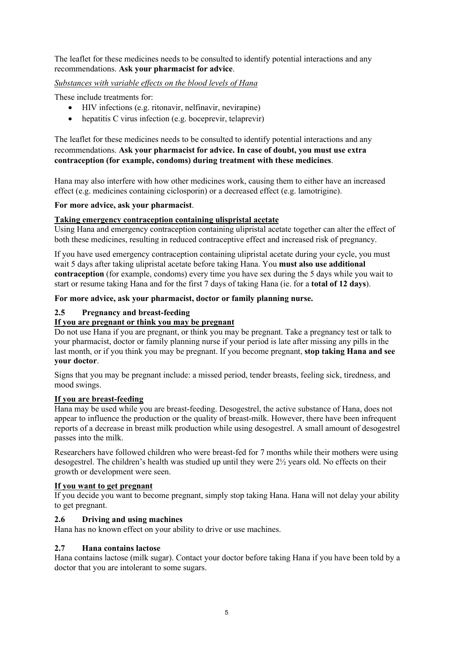The leaflet for these medicines needs to be consulted to identify potential interactions and any recommendations. **Ask your pharmacist for advice**.

*Substances with variable effects on the blood levels of Hana*

These include treatments for:

- HIV infections (e.g. ritonavir, nelfinavir, nevirapine)
- hepatitis C virus infection (e.g. boceprevir, telaprevir)

The leaflet for these medicines needs to be consulted to identify potential interactions and any recommendations. **Ask your pharmacist for advice. In case of doubt, you must use extra contraception (for example, condoms) during treatment with these medicines**.

Hana may also interfere with how other medicines work, causing them to either have an increased effect (e.g. medicines containing ciclosporin) or a decreased effect (e.g. lamotrigine).

#### **For more advice, ask your pharmacist**.

#### **Taking emergency contraception containing ulispristal acetate**

Using Hana and emergency contraception containing ulipristal acetate together can alter the effect of both these medicines, resulting in reduced contraceptive effect and increased risk of pregnancy.

If you have used emergency contraception containing ulipristal acetate during your cycle, you must wait 5 days after taking ulipristal acetate before taking Hana. You **must also use additional contraception** (for example, condoms) every time you have sex during the 5 days while you wait to start or resume taking Hana and for the first 7 days of taking Hana (ie. for a **total of 12 days**).

**For more advice, ask your pharmacist, doctor or family planning nurse.**

#### **2.5 Pregnancy and breast-feeding**

#### **If you are pregnant or think you may be pregnant**

Do not use Hana if you are pregnant, or think you may be pregnant. Take a pregnancy test or talk to your pharmacist, doctor or family planning nurse if your period is late after missing any pills in the last month, or if you think you may be pregnant. If you become pregnant, **stop taking Hana and see your doctor**.

Signs that you may be pregnant include: a missed period, tender breasts, feeling sick, tiredness, and mood swings.

#### **If you are breast-feeding**

Hana may be used while you are breast-feeding. Desogestrel, the active substance of Hana, does not appear to influence the production or the quality of breast-milk. However, there have been infrequent reports of a decrease in breast milk production while using desogestrel. A small amount of desogestrel passes into the milk.

Researchers have followed children who were breast-fed for 7 months while their mothers were using desogestrel. The children's health was studied up until they were  $2\frac{1}{2}$  years old. No effects on their growth or development were seen.

#### **If you want to get pregnant**

If you decide you want to become pregnant, simply stop taking Hana. Hana will not delay your ability to get pregnant.

#### **2.6 Driving and using machines**

Hana has no known effect on your ability to drive or use machines.

#### **2.7 Hana contains lactose**

Hana contains lactose (milk sugar). Contact your doctor before taking Hana if you have been told by a doctor that you are intolerant to some sugars.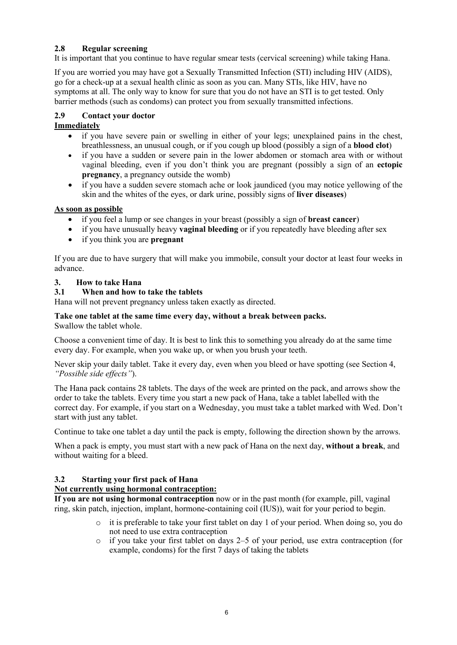## **2.8 Regular screening**

It is important that you continue to have regular smear tests (cervical screening) while taking Hana.

If you are worried you may have got a Sexually Transmitted Infection (STI) including HIV (AIDS), go for a check-up at a sexual health clinic as soon as you can. Many STIs, like HIV, have no symptoms at all. The only way to know for sure that you do not have an STI is to get tested. Only barrier methods (such as condoms) can protect you from sexually transmitted infections.

## **2.9 Contact your doctor**

## **Immediately**

- if you have severe pain or swelling in either of your legs; unexplained pains in the chest, breathlessness, an unusual cough, or if you cough up blood (possibly a sign of a **blood clot**)
- if you have a sudden or severe pain in the lower abdomen or stomach area with or without vaginal bleeding, even if you don't think you are pregnant (possibly a sign of an **ectopic pregnancy**, a pregnancy outside the womb)
- if you have a sudden severe stomach ache or look jaundiced (you may notice yellowing of the skin and the whites of the eyes, or dark urine, possibly signs of **liver diseases**)

#### **As soon as possible**

- if you feel a lump or see changes in your breast (possibly a sign of **breast cancer**)
- if you have unusually heavy **vaginal bleeding** or if you repeatedly have bleeding after sex
- if you think you are **pregnant**

If you are due to have surgery that will make you immobile, consult your doctor at least four weeks in advance.

#### **3. How to take Hana**

#### **3.1 When and how to take the tablets**

Hana will not prevent pregnancy unless taken exactly as directed.

## **Take one tablet at the same time every day, without a break between packs.**

Swallow the tablet whole.

Choose a convenient time of day. It is best to link this to something you already do at the same time every day. For example, when you wake up, or when you brush your teeth.

Never skip your daily tablet. Take it every day, even when you bleed or have spotting (see Section 4, *"Possible side effects"*).

The Hana pack contains 28 tablets. The days of the week are printed on the pack, and arrows show the order to take the tablets. Every time you start a new pack of Hana, take a tablet labelled with the correct day. For example, if you start on a Wednesday, you must take a tablet marked with Wed. Don't start with just any tablet.

Continue to take one tablet a day until the pack is empty, following the direction shown by the arrows.

When a pack is empty, you must start with a new pack of Hana on the next day, **without a break**, and without waiting for a bleed.

#### **3.2 Starting your first pack of Hana**

#### **Not currently using hormonal contraception:**

**If you are not using hormonal contraception** now or in the past month (for example, pill, vaginal ring, skin patch, injection, implant, hormone-containing coil (IUS)), wait for your period to begin.

- $\circ$  it is preferable to take your first tablet on day 1 of your period. When doing so, you do not need to use extra contraception
- $\circ$  if you take your first tablet on days 2–5 of your period, use extra contraception (for example, condoms) for the first 7 days of taking the tablets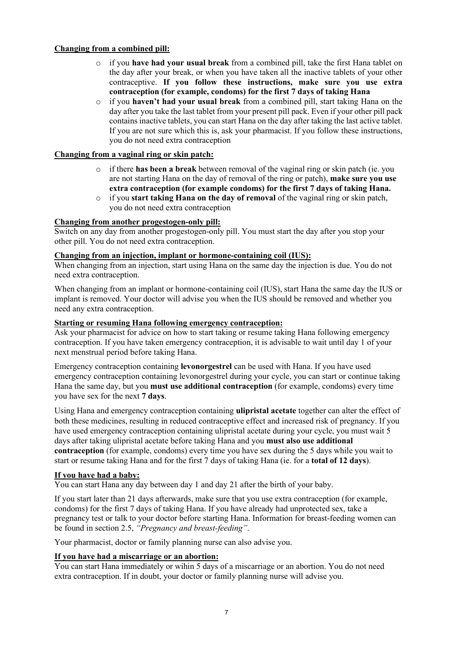#### **Changing from a combined pill:**

- o if you **have had your usual break** from a combined pill, take the first Hana tablet on the day after your break, or when you have taken all the inactive tablets of your other contraceptive. **If you follow these instructions, make sure you use extra contraception (for example, condoms) for the first 7 days of taking Hana**
- o if you **haven't had your usual break** from a combined pill, start taking Hana on the day after you take the last tablet from your present pill pack. Even if your other pill pack contains inactive tablets, you can start Hana on the day after taking the last active tablet. If you are not sure which this is, ask your pharmacist. If you follow these instructions, you do not need extra contraception

#### **Changing from a vaginal ring or skin patch:**

- o if there **has been a break** between removal of the vaginal ring or skin patch (ie. you are not starting Hana on the day of removal of the ring or patch), **make sure you use extra contraception (for example condoms) for the first 7 days of taking Hana.**
- o if you **start taking Hana on the day of removal** of the vaginal ring or skin patch, you do not need extra contraception

#### **Changing from another progestogen-only pill:**

Switch on any day from another progestogen-only pill. You must start the day after you stop your other pill. You do not need extra contraception.

#### **Changing from an injection, implant or hormone-containing coil (IUS):**

When changing from an injection, start using Hana on the same day the injection is due. You do not need extra contraception.

When changing from an implant or hormone-containing coil (IUS), start Hana the same day the IUS or implant is removed. Your doctor will advise you when the IUS should be removed and whether you need any extra contraception.

#### **Starting or resuming Hana following emergency contraception:**

Ask your pharmacist for advice on how to start taking or resume taking Hana following emergency contraception. If you have taken emergency contraception, it is advisable to wait until day 1 of your next menstrual period before taking Hana.

Emergency contraception containing **levonorgestrel** can be used with Hana. If you have used emergency contraception containing levonorgestrel during your cycle, you can start or continue taking Hana the same day, but you **must use additional contraception** (for example, condoms) every time you have sex for the next **7 days**.

Using Hana and emergency contraception containing **ulipristal acetate** together can alter the effect of both these medicines, resulting in reduced contraceptive effect and increased risk of pregnancy. If you have used emergency contraception containing ulipristal acetate during your cycle, you must wait 5 days after taking ulipristal acetate before taking Hana and you **must also use additional contraception** (for example, condoms) every time you have sex during the 5 days while you wait to start or resume taking Hana and for the first 7 days of taking Hana (ie. for a **total of 12 days**).

#### **If you have had a baby:**

You can start Hana any day between day 1 and day 21 after the birth of your baby.

If you start later than 21 days afterwards, make sure that you use extra contraception (for example, condoms) for the first 7 days of taking Hana. If you have already had unprotected sex, take a pregnancy test or talk to your doctor before starting Hana. Information for breast-feeding women can be found in section 2.5, *"Pregnancy and breast-feeding"*.

Your pharmacist, doctor or family planning nurse can also advise you.

#### **If you have had a miscarriage or an abortion:**

You can start Hana immediately or wihin 5 days of a miscarriage or an abortion. You do not need extra contraception. If in doubt, your doctor or family planning nurse will advise you.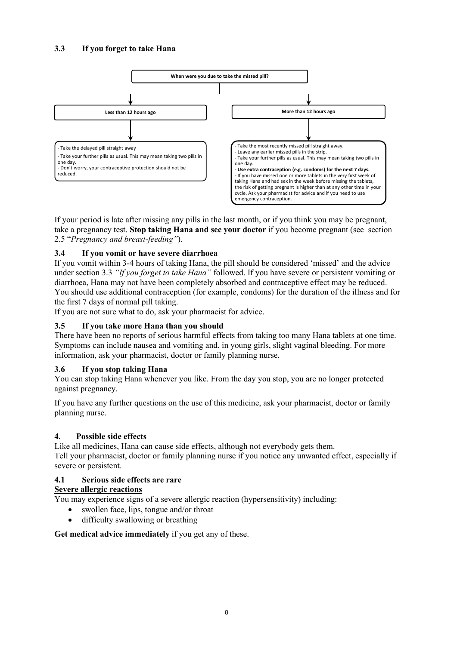## **3.3 If you forget to take Hana**



If your period is late after missing any pills in the last month, or if you think you may be pregnant, take a pregnancy test. **Stop taking Hana and see your doctor** if you become pregnant (see section 2.5 "*Pregnancy and breast-feeding"*).

#### **3.4 If you vomit or have severe diarrhoea**

If you vomit within 3-4 hours of taking Hana, the pill should be considered 'missed' and the advice under section 3.3 *"If you forget to take Hana"* followed. If you have severe or persistent vomiting or diarrhoea, Hana may not have been completely absorbed and contraceptive effect may be reduced. You should use additional contraception (for example, condoms) for the duration of the illness and for the first 7 days of normal pill taking.

If you are not sure what to do, ask your pharmacist for advice.

#### **3.5 If you take more Hana than you should**

There have been no reports of serious harmful effects from taking too many Hana tablets at one time. Symptoms can include nausea and vomiting and, in young girls, slight vaginal bleeding. For more information, ask your pharmacist, doctor or family planning nurse.

#### **3.6 If you stop taking Hana**

You can stop taking Hana whenever you like. From the day you stop, you are no longer protected against pregnancy.

If you have any further questions on the use of this medicine, ask your pharmacist, doctor or family planning nurse.

#### **4. Possible side effects**

Like all medicines, Hana can cause side effects, although not everybody gets them. Tell your pharmacist, doctor or family planning nurse if you notice any unwanted effect, especially if severe or persistent.

#### **4.1 Serious side effects are rare**

#### **Severe allergic reactions**

You may experience signs of a severe allergic reaction (hypersensitivity) including:

- swollen face, lips, tongue and/or throat
- difficulty swallowing or breathing

**Get medical advice immediately** if you get any of these.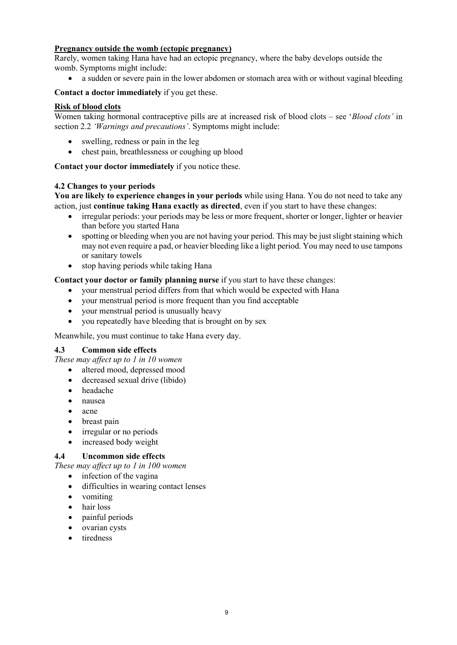#### **Pregnancy outside the womb (ectopic pregnancy)**

Rarely, women taking Hana have had an ectopic pregnancy, where the baby develops outside the womb. Symptoms might include:

• a sudden or severe pain in the lower abdomen or stomach area with or without vaginal bleeding

#### **Contact a doctor immediately** if you get these.

#### **Risk of blood clots**

Women taking hormonal contraceptive pills are at increased risk of blood clots – see '*Blood clots'* in section 2.2 *'Warnings and precautions'*. Symptoms might include:

- swelling, redness or pain in the leg
- chest pain, breathlessness or coughing up blood

**Contact your doctor immediately** if you notice these.

#### **4.2 Changes to your periods**

**You are likely to experience changes in your periods** while using Hana. You do not need to take any action, just **continue taking Hana exactly as directed**, even if you start to have these changes:

- irregular periods: your periods may be less or more frequent, shorter or longer, lighter or heavier than before you started Hana
- spotting or bleeding when you are not having your period. This may be just slight staining which may not even require a pad, or heavier bleeding like a light period. You may need to use tampons or sanitary towels
- stop having periods while taking Hana

**Contact your doctor or family planning nurse** if you start to have these changes:

- your menstrual period differs from that which would be expected with Hana
- your menstrual period is more frequent than you find acceptable
- your menstrual period is unusually heavy
- you repeatedly have bleeding that is brought on by sex

Meanwhile, you must continue to take Hana every day.

#### **4.3 Common side effects**

*These may affect up to 1 in 10 women*

- altered mood, depressed mood
- decreased sexual drive (libido)
- headache
- nausea
- acne
- breast pain
- irregular or no periods
- increased body weight

#### **4.4 Uncommon side effects**

*These may affect up to 1 in 100 women*

- infection of the vagina
- difficulties in wearing contact lenses
- vomiting
- hair loss
- painful periods
- ovarian cysts
- tiredness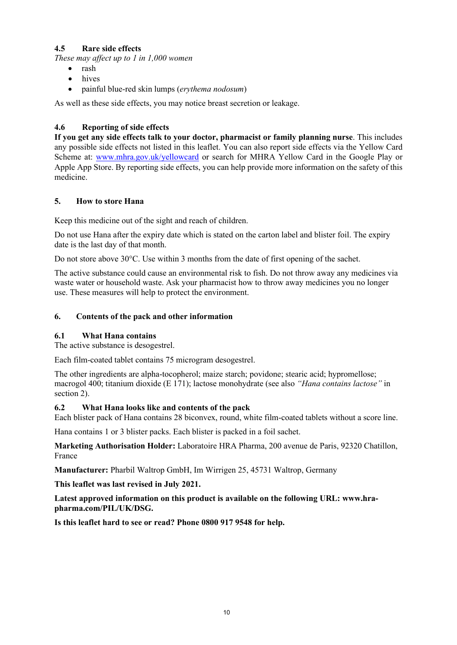## **4.5 Rare side effects**

*These may affect up to 1 in 1,000 women*

- rash
- hives
- painful blue-red skin lumps (*erythema nodosum*)

As well as these side effects, you may notice breast secretion or leakage.

## **4.6 Reporting of side effects**

**If you get any side effects talk to your doctor, pharmacist or family planning nurse**. This includes any possible side effects not listed in this leaflet. You can also report side effects via the Yellow Card Scheme at: [www.mhra.gov.uk/yellowcard](http://www.mhra.gov.uk/yellowcard) or search for MHRA Yellow Card in the Google Play or Apple App Store. By reporting side effects, you can help provide more information on the safety of this medicine.

#### **5. How to store Hana**

Keep this medicine out of the sight and reach of children.

Do not use Hana after the expiry date which is stated on the carton label and blister foil. The expiry date is the last day of that month.

Do not store above 30°C. Use within 3 months from the date of first opening of the sachet.

The active substance could cause an environmental risk to fish. Do not throw away any medicines via waste water or household waste. Ask your pharmacist how to throw away medicines you no longer use. These measures will help to protect the environment.

#### **6. Contents of the pack and other information**

#### **6.1 What Hana contains**

The active substance is desogestrel.

Each film-coated tablet contains 75 microgram desogestrel.

The other ingredients are alpha-tocopherol; maize starch; povidone; stearic acid; hypromellose; macrogol 400; titanium dioxide (E 171); lactose monohydrate (see also *"Hana contains lactose"* in section 2).

#### **6.2 What Hana looks like and contents of the pack**

Each blister pack of Hana contains 28 biconvex, round, white film-coated tablets without a score line.

Hana contains 1 or 3 blister packs. Each blister is packed in a foil sachet.

**Marketing Authorisation Holder:** Laboratoire HRA Pharma, 200 avenue de Paris, 92320 Chatillon, France

**Manufacturer:** Pharbil Waltrop GmbH, Im Wirrigen 25, 45731 Waltrop, Germany

**This leaflet was last revised in July 2021.**

**Latest approved information on this product is available on the following URL: www.hrapharma.com/PIL/UK/DSG.**

**Is this leaflet hard to see or read? Phone 0800 917 9548 for help.**